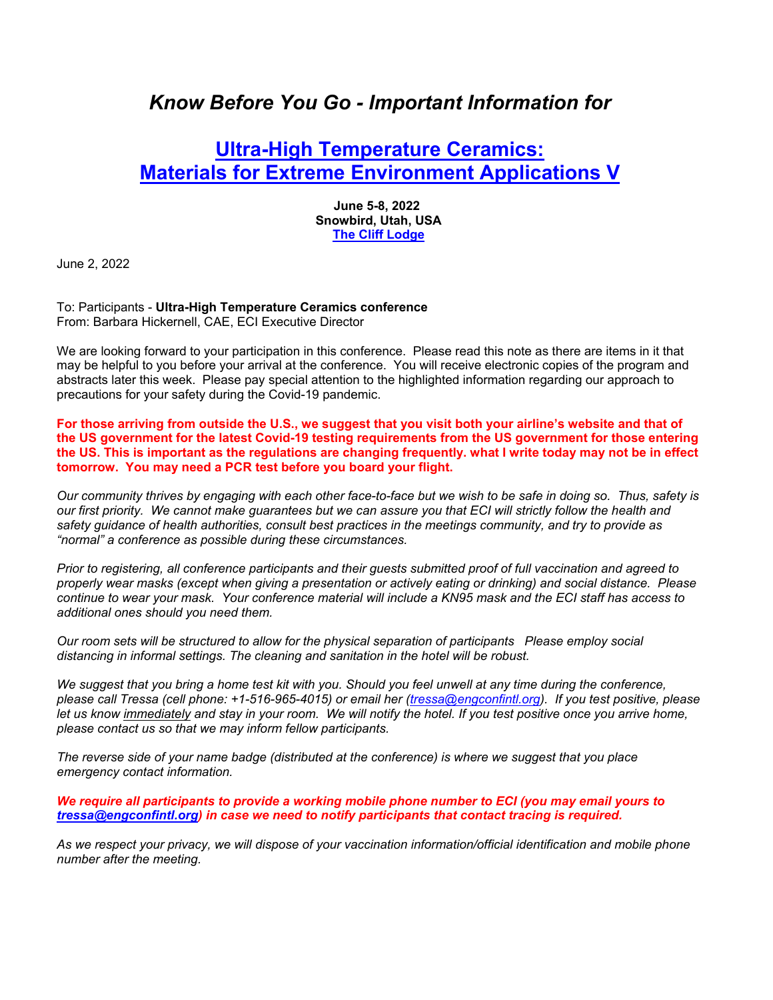# *Know Before You Go - Important Information for*

## **Ultra-High Temperature Ceramics: Materials for Extreme Environment Applications V**

**June 5-8, 2022 Snowbird, Utah, USA The Cliff Lodge**

June 2, 2022

To: Participants - **Ultra-High Temperature Ceramics conference** From: Barbara Hickernell, CAE, ECI Executive Director

We are looking forward to your participation in this conference. Please read this note as there are items in it that may be helpful to you before your arrival at the conference. You will receive electronic copies of the program and abstracts later this week. Please pay special attention to the highlighted information regarding our approach to precautions for your safety during the Covid-19 pandemic.

**For those arriving from outside the U.S., we suggest that you visit both your airline's website and that of the US government for the latest Covid-19 testing requirements from the US government for those entering the US. This is important as the regulations are changing frequently. what I write today may not be in effect tomorrow. You may need a PCR test before you board your flight.** 

*Our community thrives by engaging with each other face-to-face but we wish to be safe in doing so. Thus, safety is our first priority. We cannot make guarantees but we can assure you that ECI will strictly follow the health and safety guidance of health authorities, consult best practices in the meetings community, and try to provide as "normal" a conference as possible during these circumstances.* 

*Prior to registering, all conference participants and their guests submitted proof of full vaccination and agreed to properly wear masks (except when giving a presentation or actively eating or drinking) and social distance. Please continue to wear your mask. Your conference material will include a KN95 mask and the ECI staff has access to additional ones should you need them.* 

*Our room sets will be structured to allow for the physical separation of participants Please employ social distancing in informal settings. The cleaning and sanitation in the hotel will be robust.* 

*We suggest that you bring a home test kit with you. Should you feel unwell at any time during the conference, please call Tressa (cell phone: +1-516-965-4015) or email her (tressa@engconfintl.org). If you test positive, please*  let us know immediately and stay in your room. We will notify the hotel. If you test positive once you arrive home, *please contact us so that we may inform fellow participants.* 

*The reverse side of your name badge (distributed at the conference) is where we suggest that you place emergency contact information.* 

*We require all participants to provide a working mobile phone number to ECI (you may email yours to tressa@engconfintl.org) in case we need to notify participants that contact tracing is required.* 

*As we respect your privacy, we will dispose of your vaccination information/official identification and mobile phone number after the meeting.*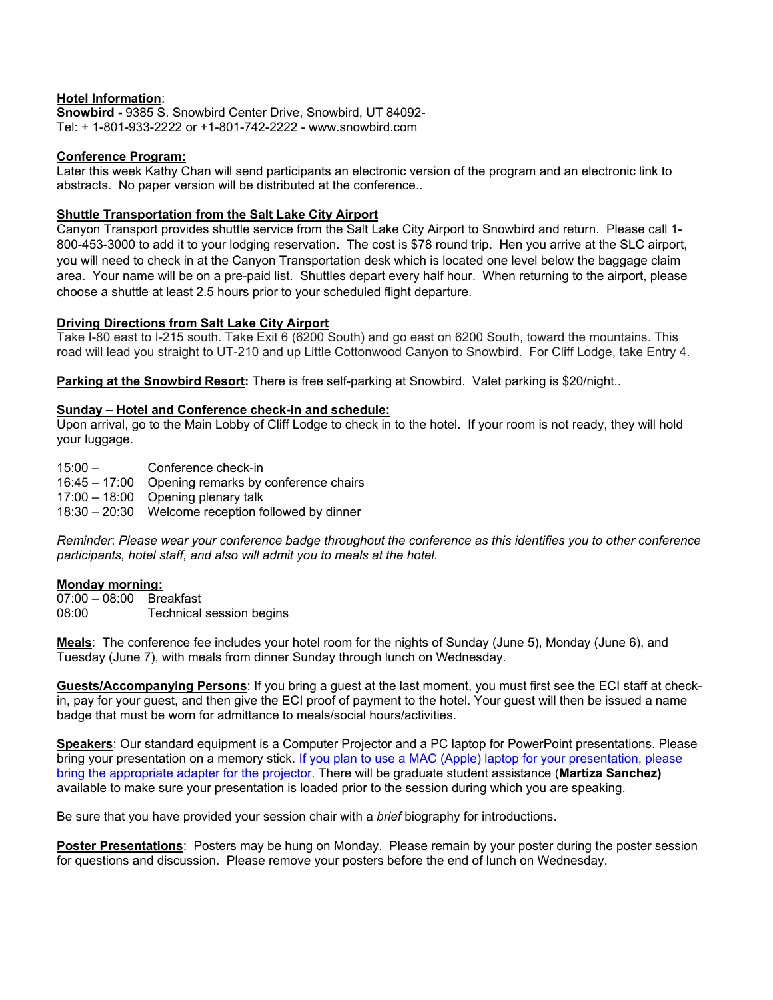### **Hotel Information**:

**Snowbird -** 9385 S. Snowbird Center Drive, Snowbird, UT 84092- Tel: + 1-801-933-2222 or +1-801-742-2222 - www.snowbird.com

## **Conference Program:**

Later this week Kathy Chan will send participants an electronic version of the program and an electronic link to abstracts. No paper version will be distributed at the conference..

## **Shuttle Transportation from the Salt Lake City Airport**

Canyon Transport provides shuttle service from the Salt Lake City Airport to Snowbird and return. Please call 1- 800-453-3000 to add it to your lodging reservation. The cost is \$78 round trip. Hen you arrive at the SLC airport, you will need to check in at the Canyon Transportation desk which is located one level below the baggage claim area. Your name will be on a pre-paid list. Shuttles depart every half hour. When returning to the airport, please choose a shuttle at least 2.5 hours prior to your scheduled flight departure.

## **Driving Directions from Salt Lake City Airport**

Take I-80 east to I-215 south. Take Exit 6 (6200 South) and go east on 6200 South, toward the mountains. This road will lead you straight to UT-210 and up Little Cottonwood Canyon to Snowbird. For Cliff Lodge, take Entry 4.

**Parking at the Snowbird Resort:** There is free self-parking at Snowbird. Valet parking is \$20/night..

## **Sunday – Hotel and Conference check-in and schedule:**

Upon arrival, go to the Main Lobby of Cliff Lodge to check in to the hotel. If your room is not ready, they will hold your luggage.

15:00 – Conference check-in

16:45 – 17:00 Opening remarks by conference chairs

17:00 – 18:00 Opening plenary talk

18:30 – 20:30 Welcome reception followed by dinner

*Reminder*: *Please wear your conference badge throughout the conference as this identifies you to other conference participants, hotel staff, and also will admit you to meals at the hotel.*

#### **Monday morning:**

07:00 – 08:00 Breakfast 08:00 Technical session begins

**Meals**: The conference fee includes your hotel room for the nights of Sunday (June 5), Monday (June 6), and Tuesday (June 7), with meals from dinner Sunday through lunch on Wednesday.

**Guests/Accompanying Persons**: If you bring a guest at the last moment, you must first see the ECI staff at checkin, pay for your guest, and then give the ECI proof of payment to the hotel. Your guest will then be issued a name badge that must be worn for admittance to meals/social hours/activities.

**Speakers**: Our standard equipment is a Computer Projector and a PC laptop for PowerPoint presentations. Please bring your presentation on a memory stick. If you plan to use a MAC (Apple) laptop for your presentation, please bring the appropriate adapter for the projector. There will be graduate student assistance (**Martiza Sanchez)** available to make sure your presentation is loaded prior to the session during which you are speaking.

Be sure that you have provided your session chair with a *brief* biography for introductions.

**Poster Presentations**: Posters may be hung on Monday. Please remain by your poster during the poster session for questions and discussion. Please remove your posters before the end of lunch on Wednesday.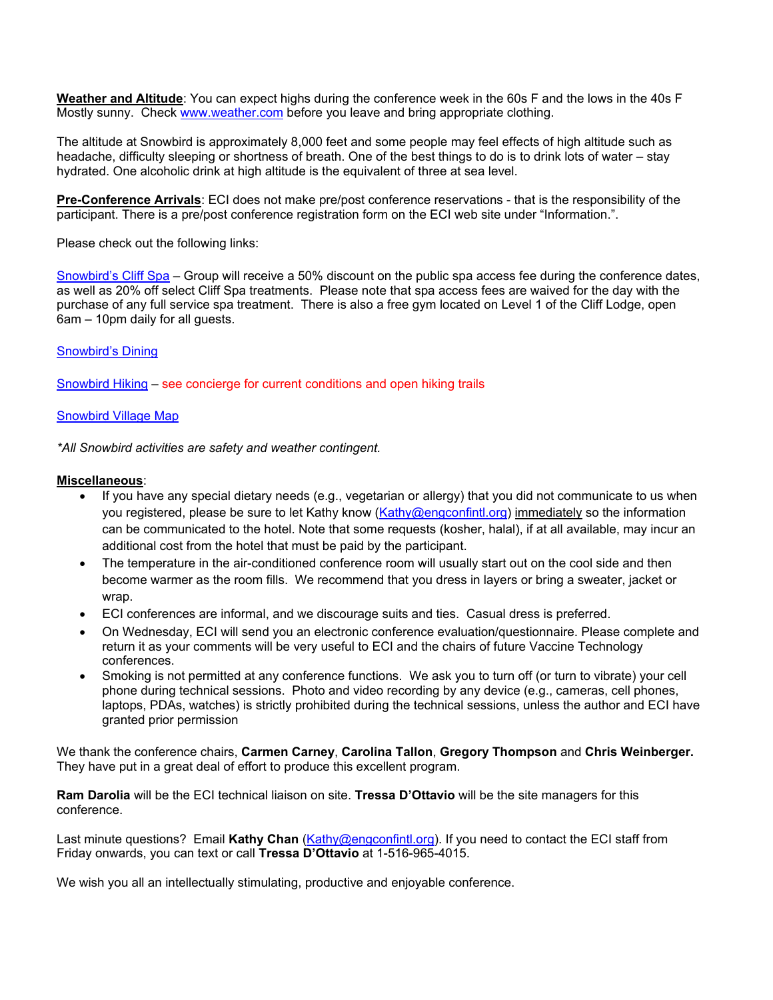**Weather and Altitude**: You can expect highs during the conference week in the 60s F and the lows in the 40s F Mostly sunny. Check www.weather.com before you leave and bring appropriate clothing.

The altitude at Snowbird is approximately 8,000 feet and some people may feel effects of high altitude such as headache, difficulty sleeping or shortness of breath. One of the best things to do is to drink lots of water – stay hydrated. One alcoholic drink at high altitude is the equivalent of three at sea level.

**Pre-Conference Arrivals**: ECI does not make pre/post conference reservations - that is the responsibility of the participant. There is a pre/post conference registration form on the ECI web site under "Information.".

Please check out the following links:

Snowbird's Cliff Spa – Group will receive a 50% discount on the public spa access fee during the conference dates, as well as 20% off select Cliff Spa treatments. Please note that spa access fees are waived for the day with the purchase of any full service spa treatment. There is also a free gym located on Level 1 of the Cliff Lodge, open 6am – 10pm daily for all guests.

#### Snowbird's Dining

Snowbird Hiking – see concierge for current conditions and open hiking trails

#### Snowbird Village Map

*\*All Snowbird activities are safety and weather contingent.* 

#### **Miscellaneous**:

- If you have any special dietary needs (e.g., vegetarian or allergy) that you did not communicate to us when you registered, please be sure to let Kathy know (Kathy@engconfintl.org) immediately so the information can be communicated to the hotel. Note that some requests (kosher, halal), if at all available, may incur an additional cost from the hotel that must be paid by the participant.
- The temperature in the air-conditioned conference room will usually start out on the cool side and then become warmer as the room fills. We recommend that you dress in layers or bring a sweater, jacket or wrap.
- ECI conferences are informal, and we discourage suits and ties. Casual dress is preferred.
- On Wednesday, ECI will send you an electronic conference evaluation/questionnaire. Please complete and return it as your comments will be very useful to ECI and the chairs of future Vaccine Technology conferences.
- Smoking is not permitted at any conference functions. We ask you to turn off (or turn to vibrate) your cell phone during technical sessions. Photo and video recording by any device (e.g., cameras, cell phones, laptops, PDAs, watches) is strictly prohibited during the technical sessions, unless the author and ECI have granted prior permission

We thank the conference chairs, **Carmen Carney**, **Carolina Tallon**, **Gregory Thompson** and **Chris Weinberger.** They have put in a great deal of effort to produce this excellent program.

**Ram Darolia** will be the ECI technical liaison on site. **Tressa D'Ottavio** will be the site managers for this conference.

Last minute questions? Email **Kathy Chan** (Kathy@engconfintl.org). If you need to contact the ECI staff from Friday onwards, you can text or call **Tressa D'Ottavio** at 1-516-965-4015.

We wish you all an intellectually stimulating, productive and enjoyable conference.